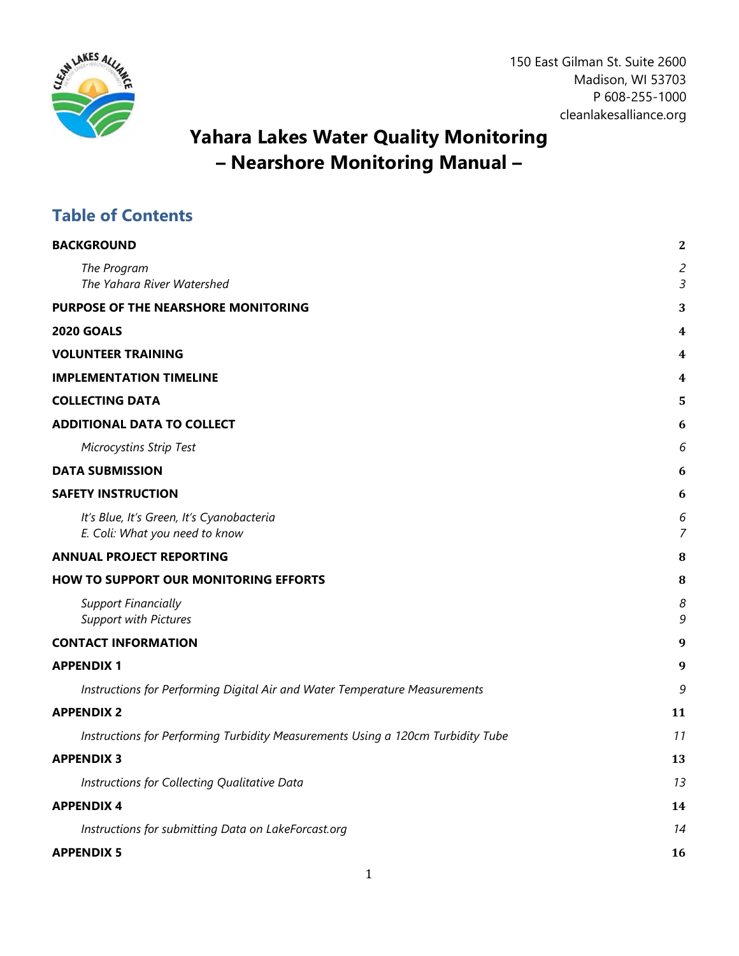

150 East Gilman St. Suite 2600 Madison, WI 53703 P 608-255-1000 cleanlakesalliance.org

## **Yahara Lakes Water Quality Monitoring – Nearshore Monitoring Manual –**

## **Table of Contents**

| <b>BACKGROUND</b>                                                               | 2                                |
|---------------------------------------------------------------------------------|----------------------------------|
| The Program<br>The Yahara River Watershed                                       | $\overline{c}$<br>$\overline{3}$ |
| PURPOSE OF THE NEARSHORE MONITORING                                             | 3                                |
| <b>2020 GOALS</b>                                                               | 4                                |
| <b>VOLUNTEER TRAINING</b>                                                       | 4                                |
| <b>IMPLEMENTATION TIMELINE</b>                                                  | 4                                |
| <b>COLLECTING DATA</b>                                                          | 5                                |
| <b>ADDITIONAL DATA TO COLLECT</b>                                               | 6                                |
| <b>Microcystins Strip Test</b>                                                  | 6                                |
| <b>DATA SUBMISSION</b>                                                          | 6                                |
| <b>SAFETY INSTRUCTION</b>                                                       | 6                                |
| It's Blue, It's Green, It's Cyanobacteria<br>E. Coli: What you need to know     | 6<br>$\overline{7}$              |
| <b>ANNUAL PROJECT REPORTING</b>                                                 | 8                                |
| <b>HOW TO SUPPORT OUR MONITORING EFFORTS</b>                                    | 8                                |
| <b>Support Financially</b><br><b>Support with Pictures</b>                      | 8<br>9                           |
| <b>CONTACT INFORMATION</b>                                                      | 9                                |
| <b>APPENDIX1</b>                                                                | 9                                |
| Instructions for Performing Digital Air and Water Temperature Measurements      | 9                                |
| <b>APPENDIX 2</b>                                                               | 11                               |
| Instructions for Performing Turbidity Measurements Using a 120cm Turbidity Tube | 11                               |
| <b>APPENDIX 3</b>                                                               | 13                               |
| Instructions for Collecting Qualitative Data                                    | 13                               |
| <b>APPENDIX4</b>                                                                | 14                               |
| Instructions for submitting Data on LakeForcast.org                             | 14                               |
| <b>APPENDIX 5</b>                                                               | 16                               |
|                                                                                 |                                  |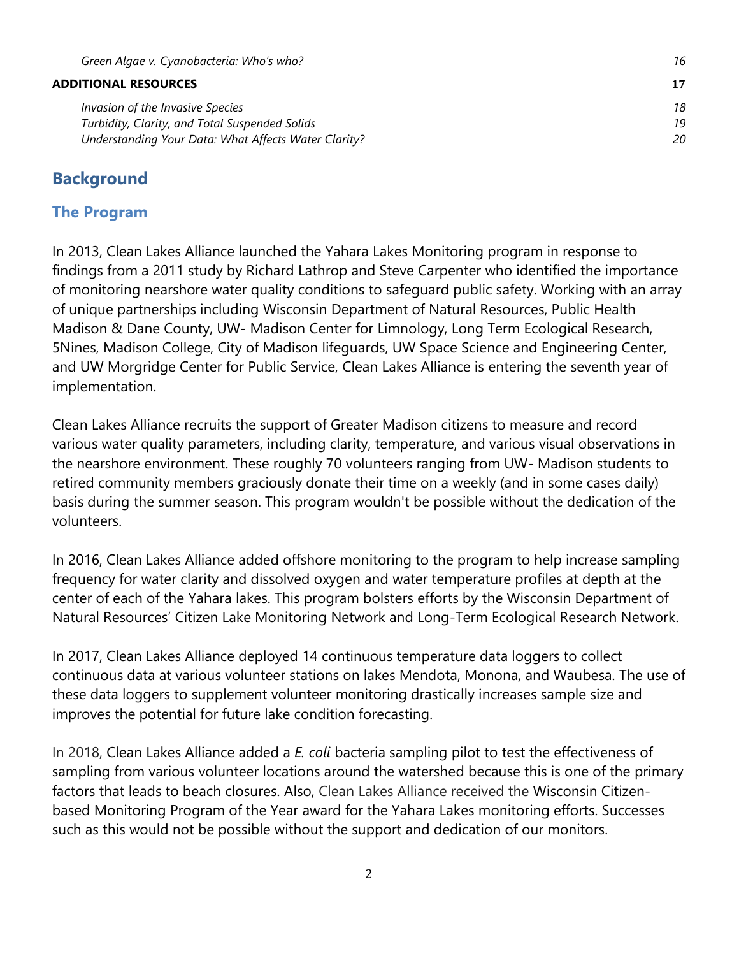#### **[ADDITIONAL RESOURCES](#page-16-0) 17**

| Invasion of the Invasive Species                     | 18 |
|------------------------------------------------------|----|
| Turbidity, Clarity, and Total Suspended Solids       | 19 |
| Understanding Your Data: What Affects Water Clarity? | 20 |

#### <span id="page-1-0"></span>**Background**

#### <span id="page-1-1"></span>**The Program**

In 2013, Clean Lakes Alliance launched the Yahara Lakes Monitoring program in response to findings from a 2011 study by Richard Lathrop and Steve Carpenter who identified the importance of monitoring nearshore water quality conditions to safeguard public safety. Working with an array of unique partnerships including Wisconsin Department of Natural Resources, Public Health Madison & Dane County, UW- Madison Center for Limnology, Long Term Ecological Research, 5Nines, Madison College, City of Madison lifeguards, UW Space Science and Engineering Center, and UW Morgridge Center for Public Service, Clean Lakes Alliance is entering the seventh year of implementation.

Clean Lakes Alliance recruits the support of Greater Madison citizens to measure and record various water quality parameters, including clarity, temperature, and various visual observations in the nearshore environment. These roughly 70 volunteers ranging from UW- Madison students to retired community members graciously donate their time on a weekly (and in some cases daily) basis during the summer season. This program wouldn't be possible without the dedication of the volunteers.

In 2016, Clean Lakes Alliance added offshore monitoring to the program to help increase sampling frequency for water clarity and dissolved oxygen and water temperature profiles at depth at the center of each of the Yahara lakes. This program bolsters efforts by the Wisconsin Department of Natural Resources' Citizen Lake Monitoring Network and Long-Term Ecological Research Network.

In 2017, Clean Lakes Alliance deployed 14 continuous temperature data loggers to collect continuous data at various volunteer stations on lakes Mendota, Monona, and Waubesa. The use of these data loggers to supplement volunteer monitoring drastically increases sample size and improves the potential for future lake condition forecasting.

In 2018, Clean Lakes Alliance added a *E. coli* bacteria sampling pilot to test the effectiveness of sampling from various volunteer locations around the watershed because this is one of the primary factors that leads to beach closures. Also, Clean Lakes Alliance received the Wisconsin Citizenbased Monitoring Program of the Year award for the Yahara Lakes monitoring efforts. Successes such as this would not be possible without the support and dedication of our monitors.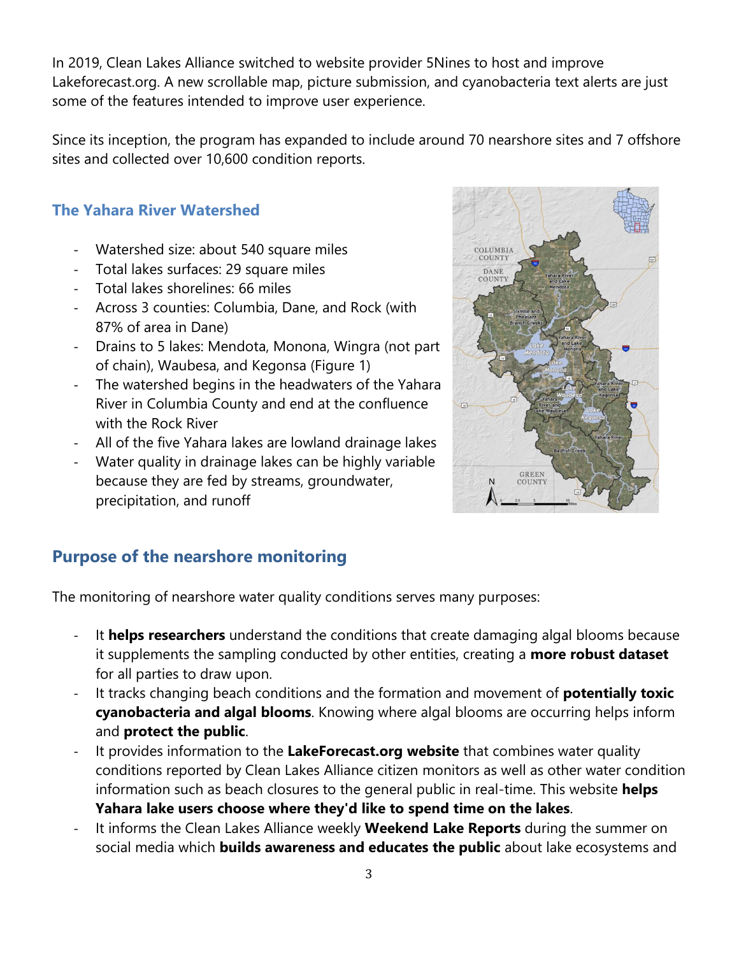In 2019, Clean Lakes Alliance switched to website provider 5Nines to host and improve Lakeforecast.org. A new scrollable map, picture submission, and cyanobacteria text alerts are just some of the features intended to improve user experience.

Since its inception, the program has expanded to include around 70 nearshore sites and 7 offshore sites and collected over 10,600 condition reports.

## <span id="page-2-0"></span>**The Yahara River Watershed**

- Watershed size: about 540 square miles
- Total lakes surfaces: 29 square miles
- Total lakes shorelines: 66 miles
- Across 3 counties: Columbia, Dane, and Rock (with 87% of area in Dane)
- Drains to 5 lakes: Mendota, Monona, Wingra (not part of chain), Waubesa, and Kegonsa (Figure 1)
- The watershed begins in the headwaters of the Yahara River in Columbia County and end at the confluence with the Rock River
- All of the five Yahara lakes are lowland drainage lakes
- Water quality in drainage lakes can be highly variable because they are fed by streams, groundwater, precipitation, and runoff



## <span id="page-2-1"></span>**Purpose of the nearshore monitoring**

The monitoring of nearshore water quality conditions serves many purposes:

- It **helps researchers** understand the conditions that create damaging algal blooms because it supplements the sampling conducted by other entities, creating a **more robust dataset** for all parties to draw upon.
- It tracks changing beach conditions and the formation and movement of **potentially toxic cyanobacteria and algal blooms**. Knowing where algal blooms are occurring helps inform and **protect the public**.
- It provides information to the **LakeForecast.org website** that combines water quality conditions reported by Clean Lakes Alliance citizen monitors as well as other water condition information such as beach closures to the general public in real-time. This website **helps Yahara lake users choose where they'd like to spend time on the lakes**.
- It informs the Clean Lakes Alliance weekly **Weekend Lake Reports** during the summer on social media which **builds awareness and educates the public** about lake ecosystems and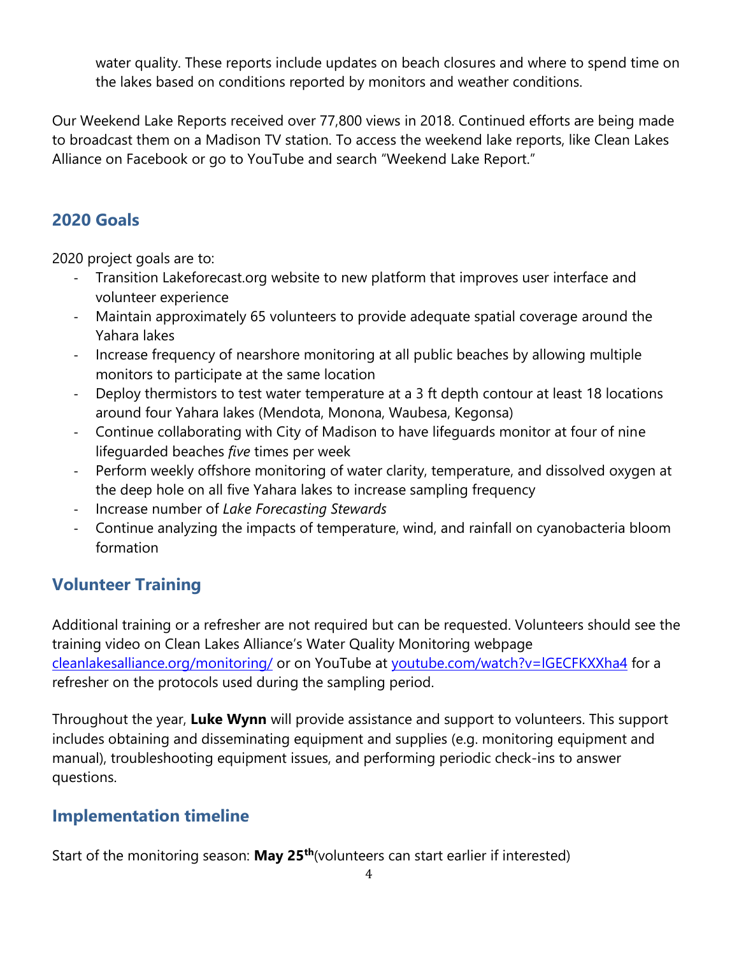water quality. These reports include updates on beach closures and where to spend time on the lakes based on conditions reported by monitors and weather conditions.

Our Weekend Lake Reports received over 77,800 views in 2018. Continued efforts are being made to broadcast them on a Madison TV station. To access the weekend lake reports, like Clean Lakes Alliance on Facebook or go to YouTube and search "Weekend Lake Report."

## <span id="page-3-0"></span>**2020 Goals**

2020 project goals are to:

- Transition Lakeforecast.org website to new platform that improves user interface and volunteer experience
- Maintain approximately 65 volunteers to provide adequate spatial coverage around the Yahara lakes
- Increase frequency of nearshore monitoring at all public beaches by allowing multiple monitors to participate at the same location
- Deploy thermistors to test water temperature at a 3 ft depth contour at least 18 locations around four Yahara lakes (Mendota, Monona, Waubesa, Kegonsa)
- Continue collaborating with City of Madison to have lifeguards monitor at four of nine lifeguarded beaches *five* times per week
- Perform weekly offshore monitoring of water clarity, temperature, and dissolved oxygen at the deep hole on all five Yahara lakes to increase sampling frequency
- Increase number of *Lake Forecasting Stewards*
- Continue analyzing the impacts of temperature, wind, and rainfall on cyanobacteria bloom formation

## <span id="page-3-1"></span>**Volunteer Training**

Additional training or a refresher are not required but can be requested. Volunteers should see the training video on Clean Lakes Alliance's Water Quality Monitoring webpage [cleanlakesalliance.org/monitoring/](http://cleanlakesalliance.org/monitoring/) or on YouTube at youtube.com/watch?v=IGECFKXXha4 for a refresher on the protocols used during the sampling period.

Throughout the year, **Luke Wynn** will provide assistance and support to volunteers. This support includes obtaining and disseminating equipment and supplies (e.g. monitoring equipment and manual), troubleshooting equipment issues, and performing periodic check-ins to answer questions.

## <span id="page-3-2"></span>**Implementation timeline**

Start of the monitoring season: **May 25th**(volunteers can start earlier if interested)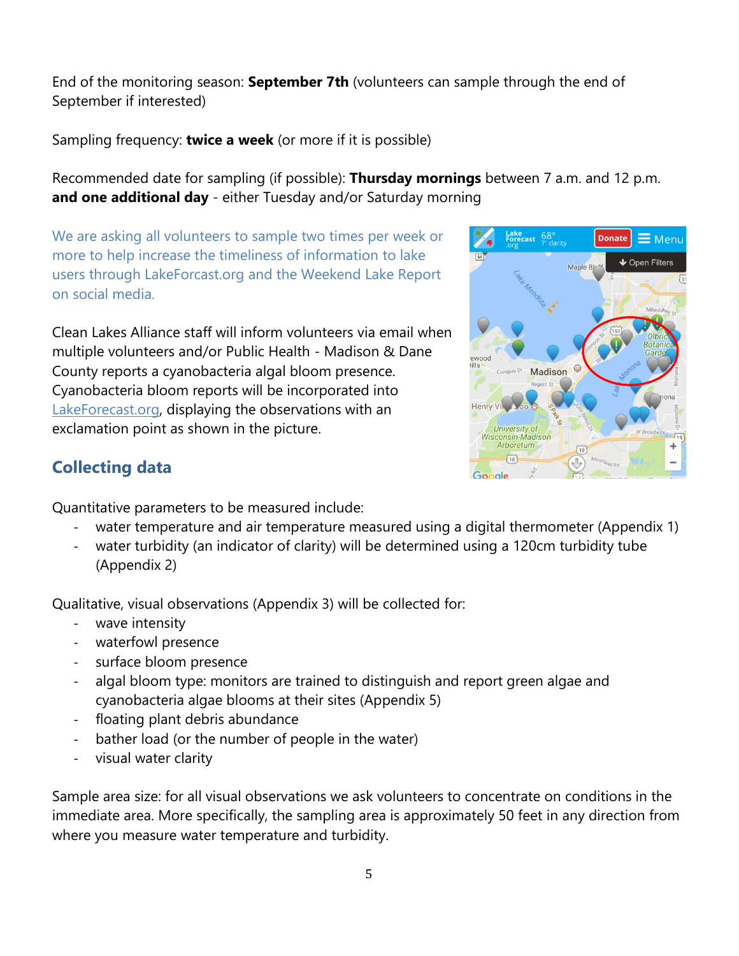End of the monitoring season: **September 7th** (volunteers can sample through the end of September if interested)

Sampling frequency: **twice a week** (or more if it is possible)

Recommended date for sampling (if possible): **Thursday mornings** between 7 a.m. and 12 p.m. **and one additional day** - either Tuesday and/or Saturday morning

We are asking all volunteers to sample two times per week or more to help increase the timeliness of information to lake users through LakeForcast.org and the Weekend Lake Report on social media.

Clean Lakes Alliance staff will inform volunteers via email when multiple volunteers and/or Public Health - Madison & Dane County reports a cyanobacteria algal bloom presence. Cyanobacteria bloom reports will be incorporated into LakeForecast.org, displaying the observations with an exclamation point as shown in the picture.



## <span id="page-4-0"></span>**Collecting data**

Quantitative parameters to be measured include:

- water temperature and air temperature measured using a digital thermometer (Appendix 1)
- water turbidity (an indicator of clarity) will be determined using a 120cm turbidity tube (Appendix 2)

Qualitative, visual observations (Appendix 3) will be collected for:

- wave intensity
- waterfowl presence
- surface bloom presence
- algal bloom type: monitors are trained to distinguish and report green algae and cyanobacteria algae blooms at their sites (Appendix 5)
- floating plant debris abundance
- bather load (or the number of people in the water)
- visual water clarity

Sample area size: for all visual observations we ask volunteers to concentrate on conditions in the immediate area. More specifically, the sampling area is approximately 50 feet in any direction from where you measure water temperature and turbidity.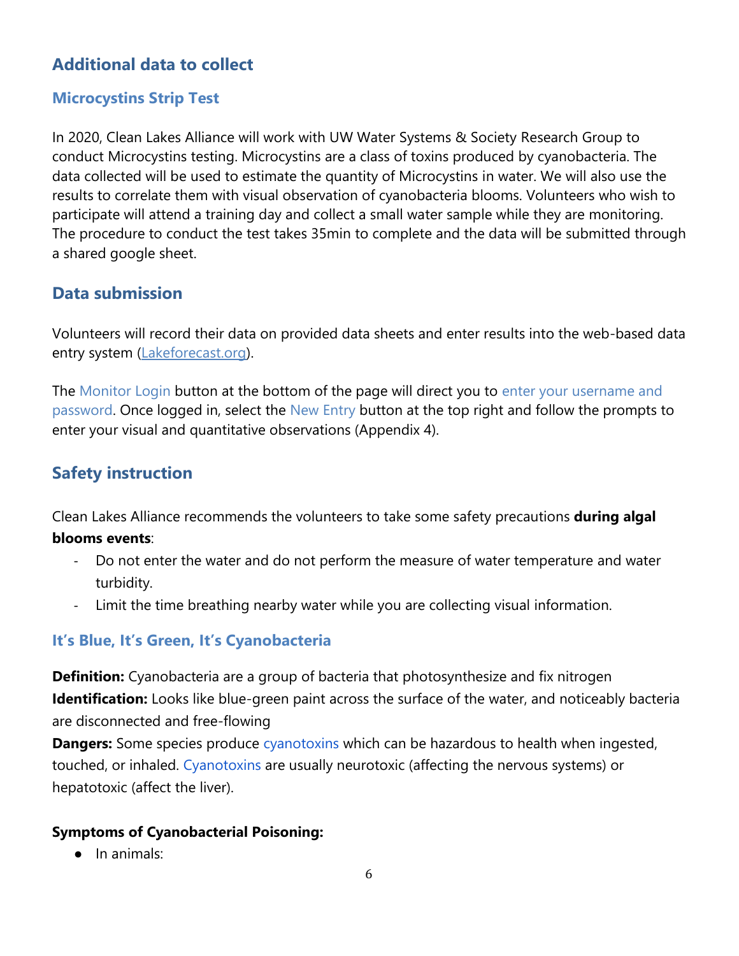## <span id="page-5-0"></span>**Additional data to collect**

## <span id="page-5-1"></span>**Microcystins Strip Test**

In 2020, Clean Lakes Alliance will work with UW Water Systems & Society Research Group to conduct Microcystins testing. Microcystins are a class of toxins produced by cyanobacteria. The data collected will be used to estimate the quantity of Microcystins in water. We will also use the results to correlate them with visual observation of cyanobacteria blooms. Volunteers who wish to participate will attend a training day and collect a small water sample while they are monitoring. The procedure to conduct the test takes 35min to complete and the data will be submitted through a shared google sheet.

## <span id="page-5-2"></span>**Data submission**

Volunteers will record their data on provided data sheets and enter results into the web-based data entry system (Lakeforecast.org).

The Monitor Login button at the bottom of the page will direct you to enter your username and password. Once logged in, select the New Entry button at the top right and follow the prompts to enter your visual and quantitative observations (Appendix 4).

## <span id="page-5-3"></span>**Safety instruction**

Clean Lakes Alliance recommends the volunteers to take some safety precautions **during algal blooms events**:

- Do not enter the water and do not perform the measure of water temperature and water turbidity.
- Limit the time breathing nearby water while you are collecting visual information.

## <span id="page-5-4"></span>**It's Blue, It's Green, It's Cyanobacteria**

**Definition:** Cyanobacteria are a group of bacteria that photosynthesize and fix nitrogen **Identification:** Looks like blue-green paint across the surface of the water, and noticeably bacteria are disconnected and free-flowing

**Dangers:** Some species produce cyanotoxins which can be hazardous to health when ingested, touched, or inhaled. Cyanotoxins are usually neurotoxic (affecting the nervous systems) or hepatotoxic (affect the liver).

## **Symptoms of Cyanobacterial Poisoning:**

● In animals: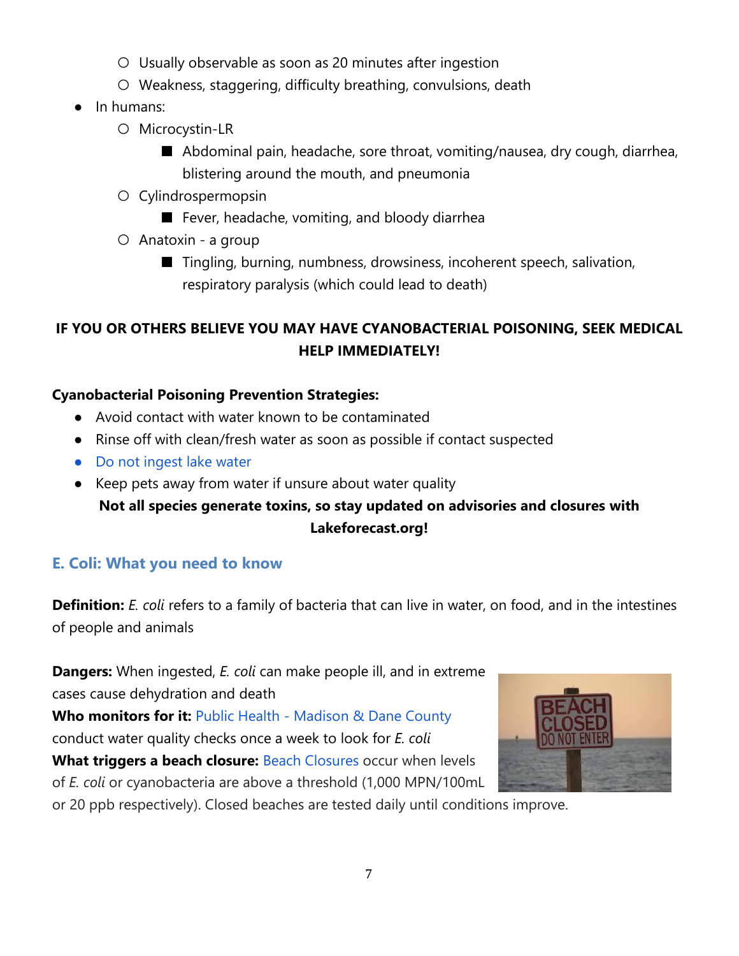- Usually observable as soon as 20 minutes after ingestion
- Weakness, staggering, difficulty breathing, convulsions, death
- In humans:
	- Microcystin-LR
		- Abdominal pain, headache, sore throat, vomiting/nausea, dry cough, diarrhea, blistering around the mouth, and pneumonia
	- Cylindrospermopsin
		- Fever, headache, vomiting, and bloody diarrhea
	- Anatoxin a group
		- Tingling, burning, numbness, drowsiness, incoherent speech, salivation, respiratory paralysis (which could lead to death)

## **IF YOU OR OTHERS BELIEVE YOU MAY HAVE CYANOBACTERIAL POISONING, SEEK MEDICAL HELP IMMEDIATELY!**

## **Cyanobacterial Poisoning Prevention Strategies:**

- Avoid contact with water known to be contaminated
- Rinse off with clean/fresh water as soon as possible if contact suspected
- Do not ingest lake water
- Keep pets away from water if unsure about water quality

## **Not all species generate toxins, so stay updated on advisories and closures with Lakeforecast.org!**

## <span id="page-6-0"></span>**E. Coli: What you need to know**

**Definition:** *E. coli* refers to a family of bacteria that can live in water, on food, and in the intestines of people and animals

**Dangers:** When ingested, *E. coli* can make people ill, and in extreme cases cause dehydration and death **Who monitors for it:** Public Health - Madison & Dane County conduct water quality checks once a week to look for *E. coli* **What triggers a beach closure:** Beach Closures occur when levels of *E. coli* or cyanobacteria are above a threshold (1,000 MPN/100mL



or 20 ppb respectively). Closed beaches are tested daily until conditions improve.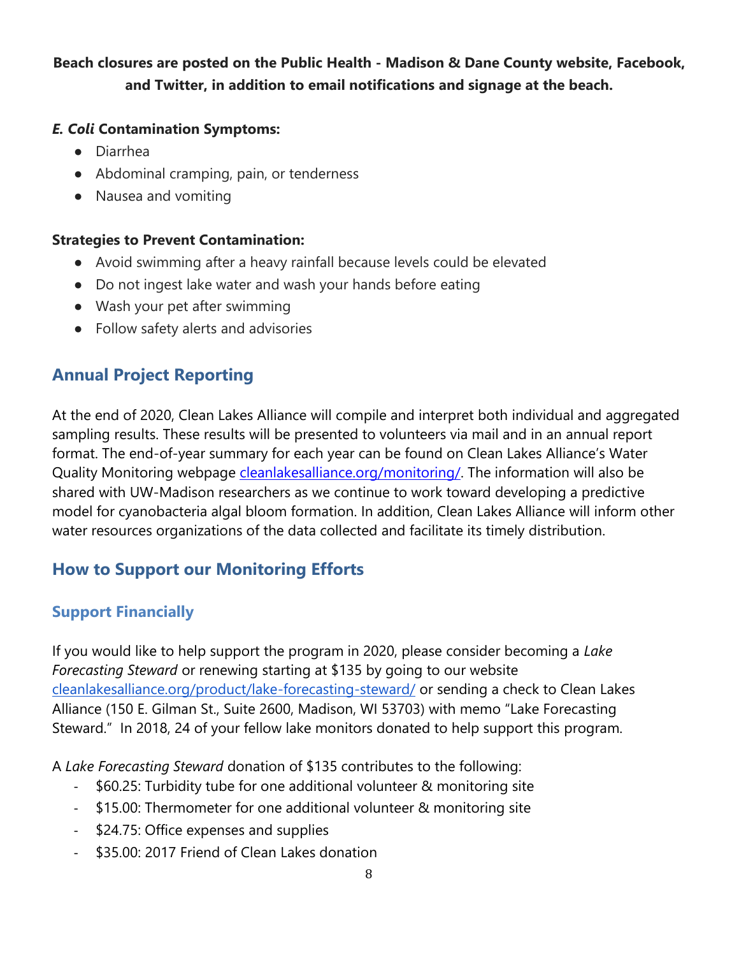## **Beach closures are posted on the Public Health - Madison & Dane County website, Facebook, and Twitter, in addition to email notifications and signage at the beach.**

#### *E. Coli* **Contamination Symptoms:**

- Diarrhea
- Abdominal cramping, pain, or tenderness
- Nausea and vomiting

#### **Strategies to Prevent Contamination:**

- Avoid swimming after a heavy rainfall because levels could be elevated
- Do not ingest lake water and wash your hands before eating
- Wash your pet after swimming
- Follow safety alerts and advisories

## <span id="page-7-0"></span>**Annual Project Reporting**

At the end of 2020, Clean Lakes Alliance will compile and interpret both individual and aggregated sampling results. These results will be presented to volunteers via mail and in an annual report format. The end-of-year summary for each year can be found on Clean Lakes Alliance's Water Quality Monitoring webpage [cleanlakesalliance.org/monitoring/.](https://cleanlakesalliance.org/monitoring/) The information will also be shared with UW-Madison researchers as we continue to work toward developing a predictive model for cyanobacteria algal bloom formation. In addition, Clean Lakes Alliance will inform other water resources organizations of the data collected and facilitate its timely distribution.

## <span id="page-7-1"></span>**How to Support our Monitoring Efforts**

## <span id="page-7-2"></span>**Support Financially**

If you would like to help support the program in 2020, please consider becoming a *Lake Forecasting Steward* or renewing starting at \$135 by going to our website [cleanlakesalliance.org/product/lake-forecasting-steward/](https://cleanlakesalliance.org/product/lake-forecasting-steward/) or sending a check to Clean Lakes Alliance (150 E. Gilman St., Suite 2600, Madison, WI 53703) with memo "Lake Forecasting Steward." In 2018, 24 of your fellow lake monitors donated to help support this program.

A *Lake Forecasting Steward* donation of \$135 contributes to the following:

- \$60.25: Turbidity tube for one additional volunteer & monitoring site
- \$15.00: Thermometer for one additional volunteer & monitoring site
- \$24.75: Office expenses and supplies
- \$35.00: 2017 Friend of Clean Lakes donation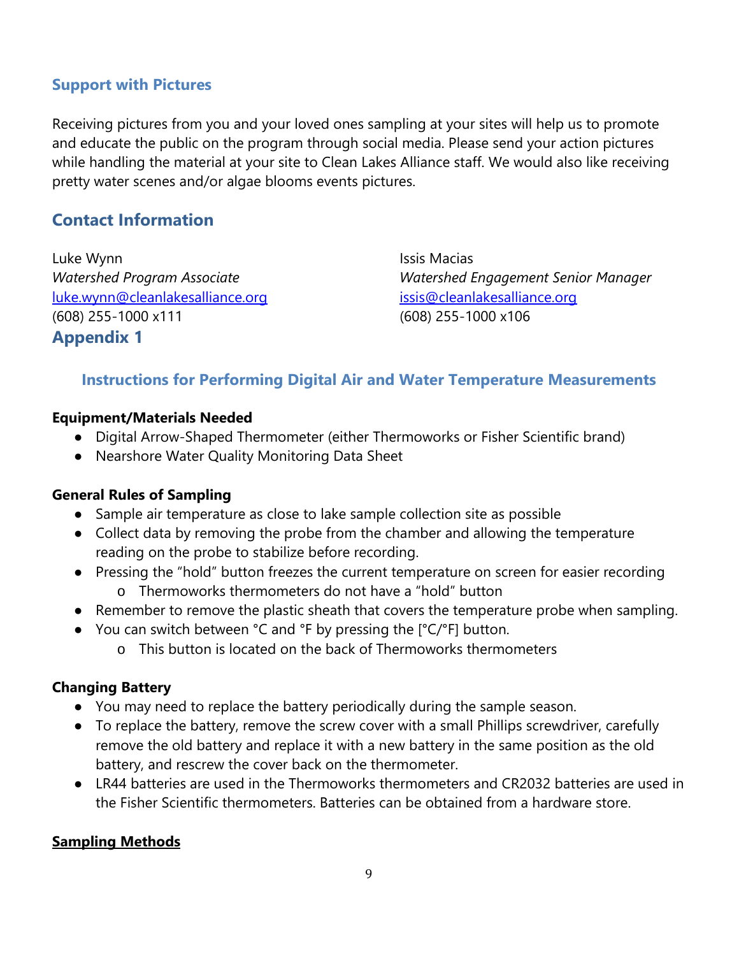## <span id="page-8-0"></span>**Support with Pictures**

Receiving pictures from you and your loved ones sampling at your sites will help us to promote and educate the public on the program through social media. Please send your action pictures while handling the material at your site to Clean Lakes Alliance staff. We would also like receiving pretty water scenes and/or algae blooms events pictures.

## <span id="page-8-1"></span>**Contact Information**

Luke Wynn **Issis Macias** [luke.wynn@cleanlakesalliance.org](mailto:luke.wynn@cleanlakesalliance.org) [issis@cleanlakesalliance.org](mailto:issis@cleanlakesalliance.org) (608) 255-1000 x111 (608) 255-1000 x106 **Appendix 1**

*Watershed Program Associate Watershed Engagement Senior Manager*

## <span id="page-8-3"></span><span id="page-8-2"></span>**Instructions for Performing Digital Air and Water Temperature Measurements**

#### **Equipment/Materials Needed**

- Digital Arrow-Shaped Thermometer (either Thermoworks or Fisher Scientific brand)
- Nearshore Water Quality Monitoring Data Sheet

#### **General Rules of Sampling**

- Sample air temperature as close to lake sample collection site as possible
- Collect data by removing the probe from the chamber and allowing the temperature reading on the probe to stabilize before recording.
- Pressing the "hold" button freezes the current temperature on screen for easier recording o Thermoworks thermometers do not have a "hold" button
- Remember to remove the plastic sheath that covers the temperature probe when sampling.
- You can switch between °C and °F by pressing the [°C/°F] button.
	- o This button is located on the back of Thermoworks thermometers

#### **Changing Battery**

- You may need to replace the battery periodically during the sample season.
- To replace the battery, remove the screw cover with a small Phillips screwdriver, carefully remove the old battery and replace it with a new battery in the same position as the old battery, and rescrew the cover back on the thermometer.
- LR44 batteries are used in the Thermoworks thermometers and CR2032 batteries are used in the Fisher Scientific thermometers. Batteries can be obtained from a hardware store.

#### **Sampling Methods**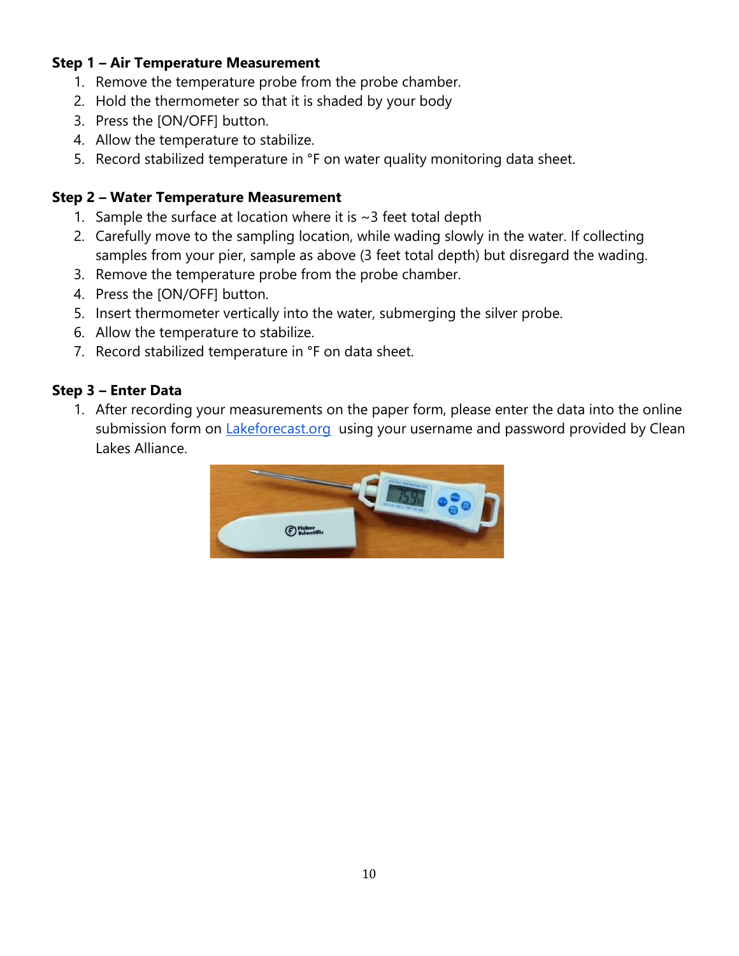### **Step 1 – Air Temperature Measurement**

- 1. Remove the temperature probe from the probe chamber.
- 2. Hold the thermometer so that it is shaded by your body
- 3. Press the [ON/OFF] button.
- 4. Allow the temperature to stabilize.
- 5. Record stabilized temperature in °F on water quality monitoring data sheet.

## **Step 2 – Water Temperature Measurement**

- 1. Sample the surface at location where it is  $\sim$  3 feet total depth
- 2. Carefully move to the sampling location, while wading slowly in the water. If collecting samples from your pier, sample as above (3 feet total depth) but disregard the wading.
- 3. Remove the temperature probe from the probe chamber.
- 4. Press the [ON/OFF] button.
- 5. Insert thermometer vertically into the water, submerging the silver probe.
- 6. Allow the temperature to stabilize.
- 7. Record stabilized temperature in °F on data sheet.

## **Step 3 – Enter Data**

1. After recording your measurements on the paper form, please enter the data into the online submission form on *Lakeforecast.org* using your username and password provided by Clean Lakes Alliance.

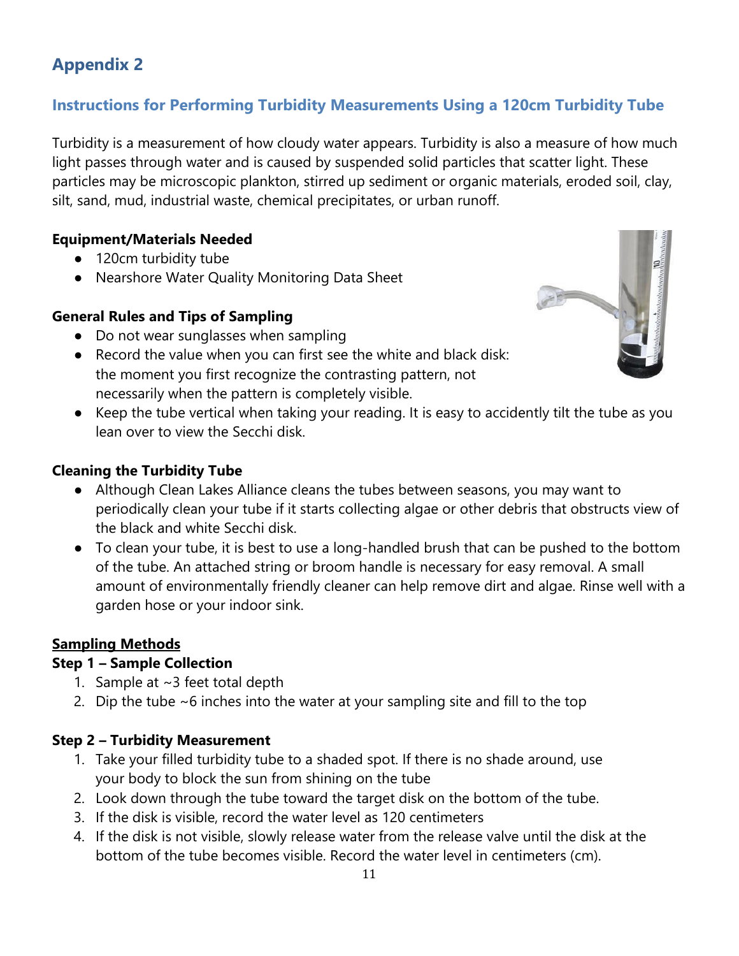## <span id="page-10-1"></span><span id="page-10-0"></span>**Instructions for Performing Turbidity Measurements Using a 120cm Turbidity Tube**

Turbidity is a measurement of how cloudy water appears. Turbidity is also a measure of how much light passes through water and is caused by suspended solid particles that scatter light. These particles may be microscopic plankton, stirred up sediment or organic materials, eroded soil, clay, silt, sand, mud, industrial waste, chemical precipitates, or urban runoff.

#### **Equipment/Materials Needed**

- 120cm turbidity tube
- Nearshore Water Quality Monitoring Data Sheet

#### **General Rules and Tips of Sampling**

- Do not wear sunglasses when sampling
- Record the value when you can first see the white and black disk: the moment you first recognize the contrasting pattern, not necessarily when the pattern is completely visible.
- Keep the tube vertical when taking your reading. It is easy to accidently tilt the tube as you lean over to view the Secchi disk.

#### **Cleaning the Turbidity Tube**

- Although Clean Lakes Alliance cleans the tubes between seasons, you may want to periodically clean your tube if it starts collecting algae or other debris that obstructs view of the black and white Secchi disk.
- To clean your tube, it is best to use a long-handled brush that can be pushed to the bottom of the tube. An attached string or broom handle is necessary for easy removal. A small amount of environmentally friendly cleaner can help remove dirt and algae. Rinse well with a garden hose or your indoor sink.

#### **Sampling Methods**

#### **Step 1 – Sample Collection**

- 1. Sample at  $\sim$ 3 feet total depth
- 2. Dip the tube  $\sim$  6 inches into the water at your sampling site and fill to the top

#### **Step 2 – Turbidity Measurement**

- 1. Take your filled turbidity tube to a shaded spot. If there is no shade around, use your body to block the sun from shining on the tube
- 2. Look down through the tube toward the target disk on the bottom of the tube.
- 3. If the disk is visible, record the water level as 120 centimeters
- 4. If the disk is not visible, slowly release water from the release valve until the disk at the bottom of the tube becomes visible. Record the water level in centimeters (cm).

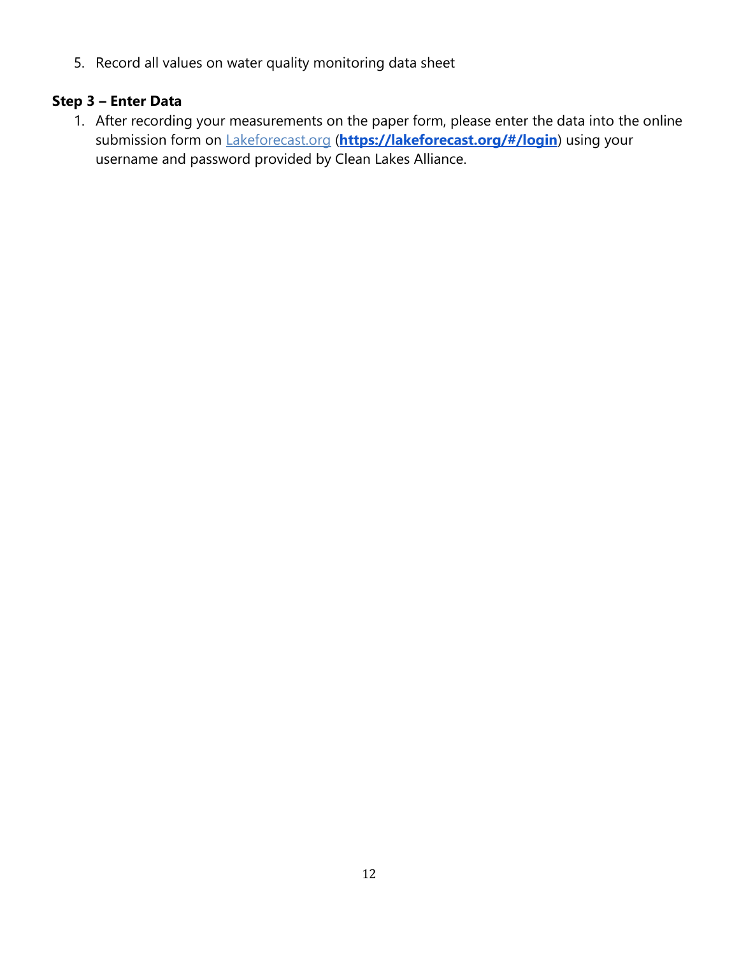5. Record all values on water quality monitoring data sheet

## **Step 3 – Enter Data**

1. After recording your measurements on the paper form, please enter the data into the online submission form on Lakeforecast.org (**<https://lakeforecast.org/#/login>**) using your username and password provided by Clean Lakes Alliance.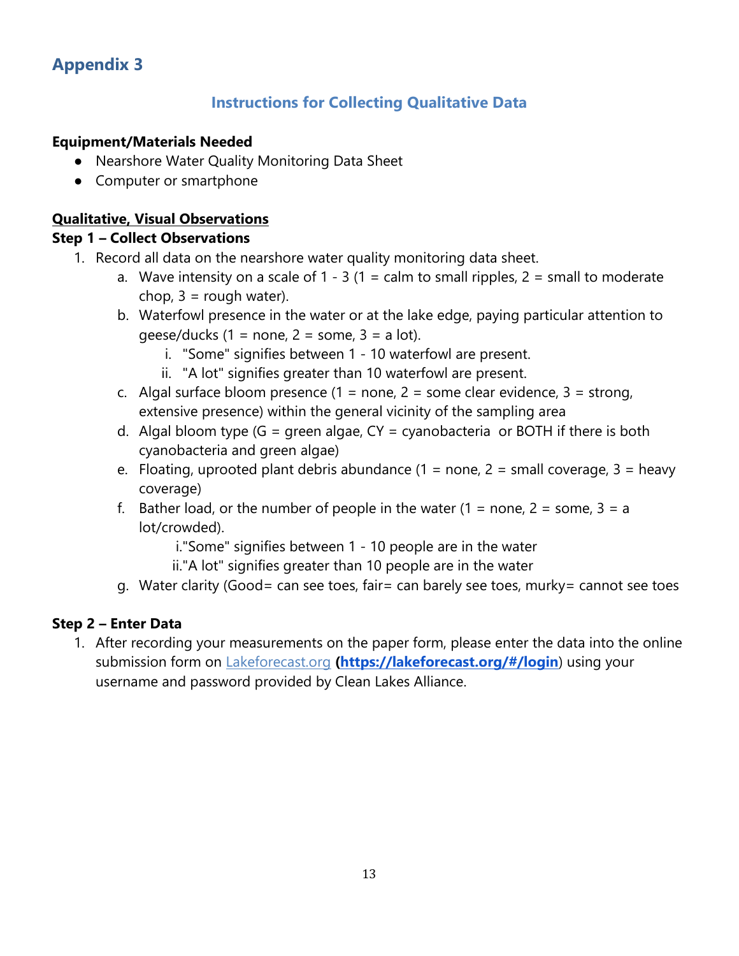## **Instructions for Collecting Qualitative Data**

#### <span id="page-12-1"></span><span id="page-12-0"></span>**Equipment/Materials Needed**

- Nearshore Water Quality Monitoring Data Sheet
- Computer or smartphone

#### **Qualitative, Visual Observations**

#### **Step 1 – Collect Observations**

- 1. Record all data on the nearshore water quality monitoring data sheet.
	- a. Wave intensity on a scale of  $1 3$  (1 = calm to small ripples, 2 = small to moderate chop,  $3 =$  rough water).
	- b. Waterfowl presence in the water or at the lake edge, paying particular attention to qeese/ducks (1 = none, 2 = some, 3 = a lot).
		- i. "Some" signifies between 1 10 waterfowl are present.
		- ii. "A lot" signifies greater than 10 waterfowl are present.
	- c. Algal surface bloom presence  $(1 = none, 2 = some$  clear evidence,  $3 = strong$ , extensive presence) within the general vicinity of the sampling area
	- d. Algal bloom type (G = green algae,  $CY = cyanobacteria$  or BOTH if there is both cyanobacteria and green algae)
	- e. Floating, uprooted plant debris abundance  $(1 = none, 2 = small coverage, 3 = heavy$ coverage)
	- f. Bather load, or the number of people in the water  $(1 = none, 2 = some, 3 = a$ lot/crowded).

i."Some" signifies between 1 - 10 people are in the water

- ii."A lot" signifies greater than 10 people are in the water
- g. Water clarity (Good= can see toes, fair= can barely see toes, murky= cannot see toes

#### **Step 2 – Enter Data**

1. After recording your measurements on the paper form, please enter the data into the online submission form on Lakeforecast.org **[\(https://lakeforecast.org/#/login](https://lakeforecast.org/#/login)**) using your username and password provided by Clean Lakes Alliance.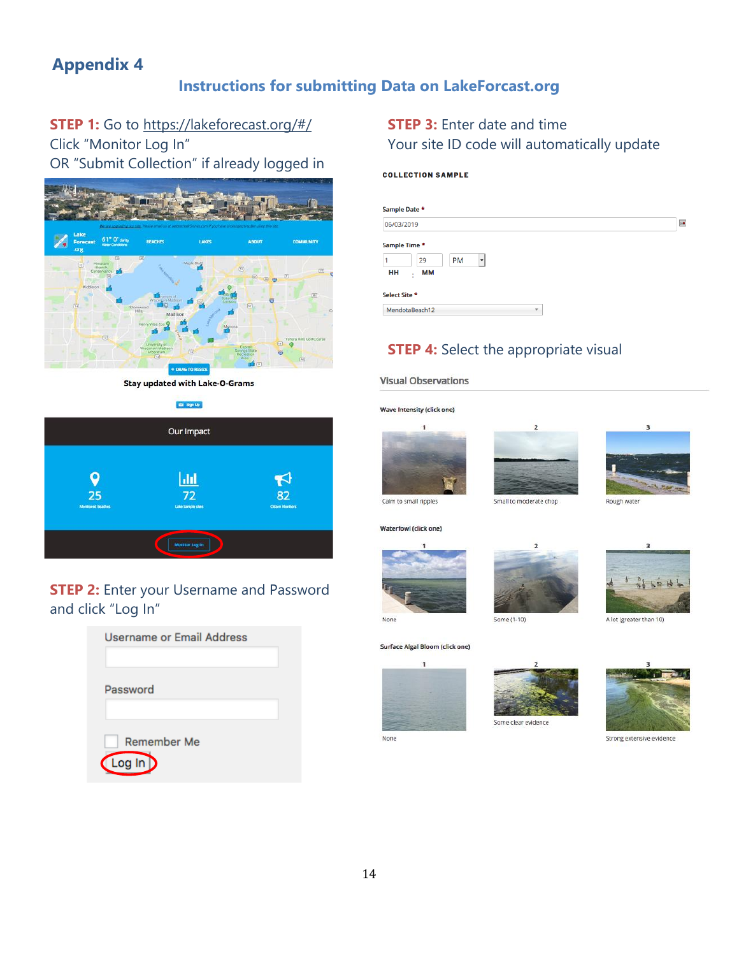## **Instructions for submitting Data on LakeForcast.org**

<span id="page-13-1"></span><span id="page-13-0"></span>**STEP 1:** Go to https://lakeforecast.org/#/ Click "Monitor Log In"

OR "Submit Collection" if already logged in



**Stay updated with Lake-O-Grams** 

Ed Sign Up



## **STEP 2:** Enter your Username and Password and click "Log In"

| Username or Email Address  |  |
|----------------------------|--|
| Password                   |  |
| Remember Me<br>Log $\ln D$ |  |

#### **STEP 3: Enter date and time** Your site ID code will automatically update

#### **COLLECTION SAMPLE**

| ample Date *                    |                |                         |                           |
|---------------------------------|----------------|-------------------------|---------------------------|
| 06/03/2019                      |                |                         | $\overline{\mathbb{H}^2}$ |
| ample Time *<br>1<br>29         | <b>PM</b><br>۰ |                         |                           |
| HH<br><b>MM</b><br>$\mathbf{r}$ |                |                         |                           |
| ielect Site *                   |                |                         |                           |
| MendotaBeach12                  |                | $\overline{\mathbf{v}}$ |                           |
|                                 |                |                         |                           |

### **STEP 4:** Select the appropriate visual

**Visual Observations** 

#### Wave Intensity (click one)







Small to moderate chop

Some (1-10)

 $\overline{2}$ 



A lot (greater than 10)

#### Surface Algal Bloom (click one)

None





Some clear evidence



Strong extensive evidence





Waterfowl (click one)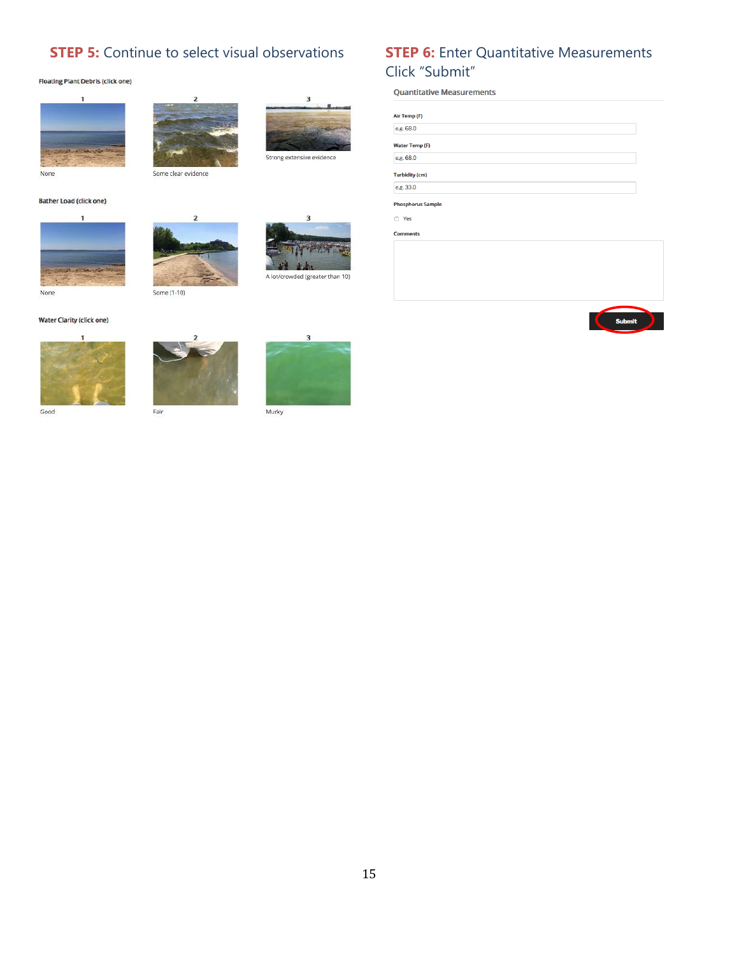## **STEP 5:** Continue to select visual observations **STEP 6:** Enter Quantitative Measurements

#### **Floating Plant Debris (click one)**







# Some clear evidence

#### **Bather Load (click one)**







# Click "Submit"

**Quantitative Measurements** 

Air Temp (F)  $e.g. 68.0$ Water Temp (F) e.g.  $68.0$ **Turbidity (cm)**  $e.g. 33.0$ **Phosphorus Sample** 

 $\Box$  Yes

**Comments** 









#### **Water Clarity (click one)**







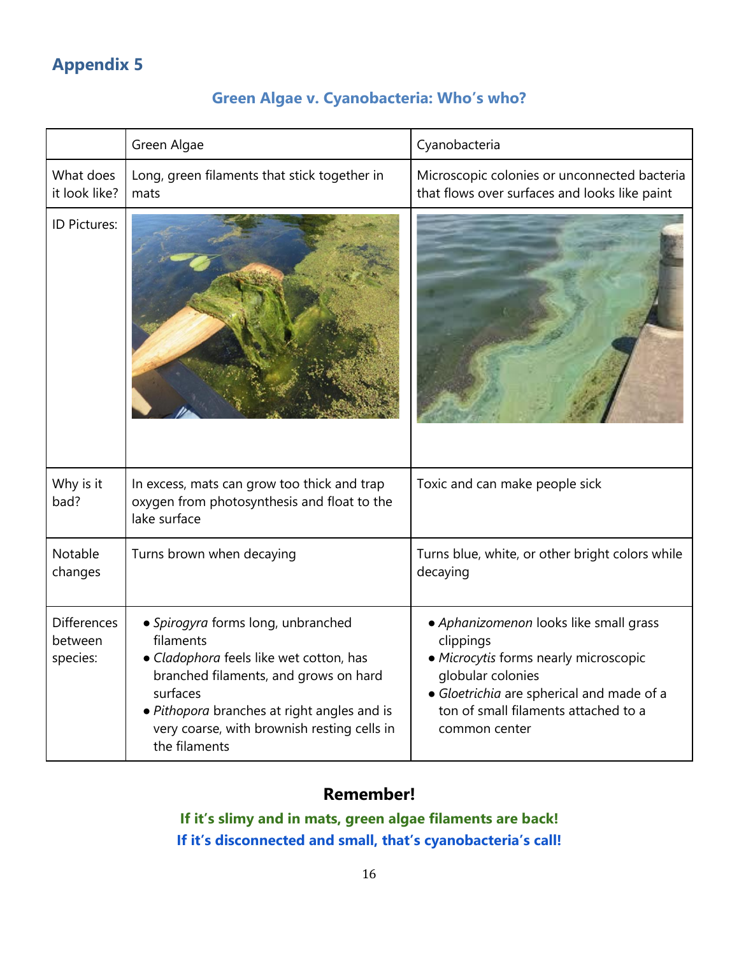## **Green Algae v. Cyanobacteria: Who's who?**

<span id="page-15-1"></span><span id="page-15-0"></span>

|                                           | Green Algae                                                                                                                                                                                                                                                    | Cyanobacteria                                                                                                                                                                                                           |
|-------------------------------------------|----------------------------------------------------------------------------------------------------------------------------------------------------------------------------------------------------------------------------------------------------------------|-------------------------------------------------------------------------------------------------------------------------------------------------------------------------------------------------------------------------|
| What does<br>it look like?                | Long, green filaments that stick together in<br>mats                                                                                                                                                                                                           | Microscopic colonies or unconnected bacteria<br>that flows over surfaces and looks like paint                                                                                                                           |
| ID Pictures:                              |                                                                                                                                                                                                                                                                |                                                                                                                                                                                                                         |
| Why is it<br>bad?                         | In excess, mats can grow too thick and trap<br>oxygen from photosynthesis and float to the<br>lake surface                                                                                                                                                     | Toxic and can make people sick                                                                                                                                                                                          |
| Notable<br>changes                        | Turns brown when decaying                                                                                                                                                                                                                                      | Turns blue, white, or other bright colors while<br>decaying                                                                                                                                                             |
| <b>Differences</b><br>between<br>species: | · Spirogyra forms long, unbranched<br>filaments<br>· Cladophora feels like wet cotton, has<br>branched filaments, and grows on hard<br>surfaces<br>• Pithopora branches at right angles and is<br>very coarse, with brownish resting cells in<br>the filaments | • Aphanizomenon looks like small grass<br>clippings<br>• Microcytis forms nearly microscopic<br>globular colonies<br>· Gloetrichia are spherical and made of a<br>ton of small filaments attached to a<br>common center |

## **Remember!**

**If it's slimy and in mats, green algae filaments are back! If it's disconnected and small, that's cyanobacteria's call!**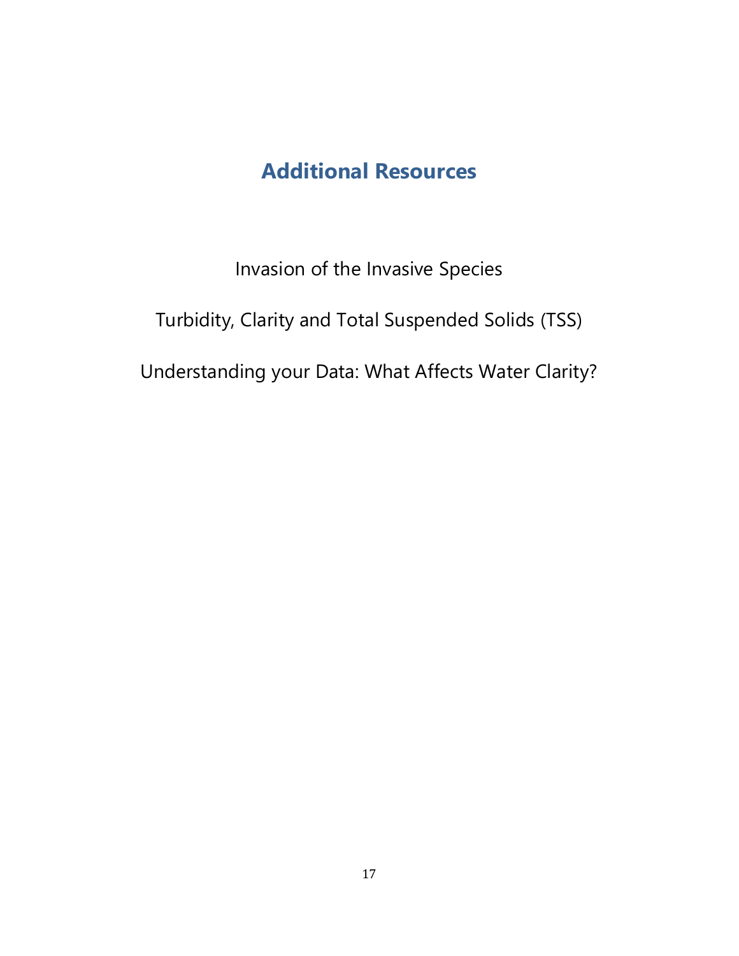## **Additional Resources**

Invasion of the Invasive Species

<span id="page-16-0"></span>Turbidity, Clarity and Total Suspended Solids (TSS)

Understanding your Data: What Affects Water Clarity?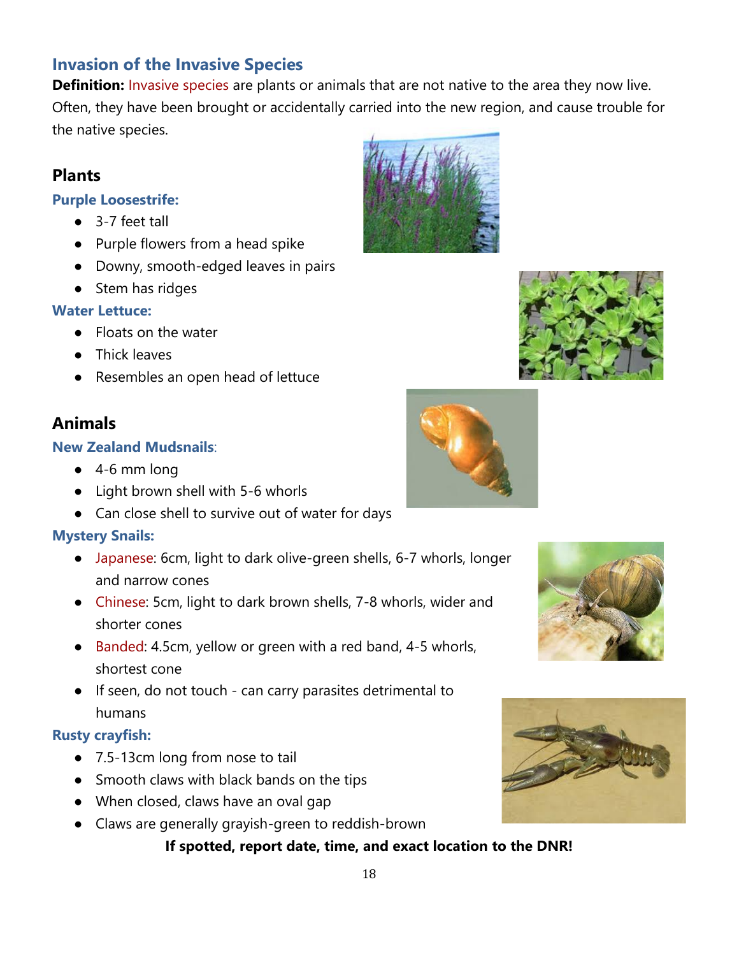## <span id="page-17-0"></span>**Invasion of the Invasive Species**

**Definition:** Invasive species are plants or animals that are not native to the area they now live. Often, they have been brought or accidentally carried into the new region, and cause trouble for the native species.

## **Plants**

### **Purple Loosestrife:**

- 3-7 feet tall
- Purple flowers from a head spike
- Downy, smooth-edged leaves in pairs
- Stem has ridges

### **Water Lettuce:**

- Floats on the water
- Thick leaves
- Resembles an open head of lettuce

## **Animals**

### **New Zealand Mudsnails**:

- $\bullet$  4-6 mm long
- Light brown shell with 5-6 whorls
- Can close shell to survive out of water for days

## **Mystery Snails:**

- Japanese: 6cm, light to dark olive-green shells, 6-7 whorls, longer and narrow cones
- Chinese: 5cm, light to dark brown shells, 7-8 whorls, wider and shorter cones
- Banded: 4.5cm, yellow or green with a red band, 4-5 whorls, shortest cone
- If seen, do not touch can carry parasites detrimental to humans

#### **Rusty crayfish:**

- 7.5-13cm long from nose to tail
- Smooth claws with black bands on the tips
- When closed, claws have an oval gap
- Claws are generally grayish-green to reddish-brown

## **If spotted, report date, time, and exact location to the DNR!**









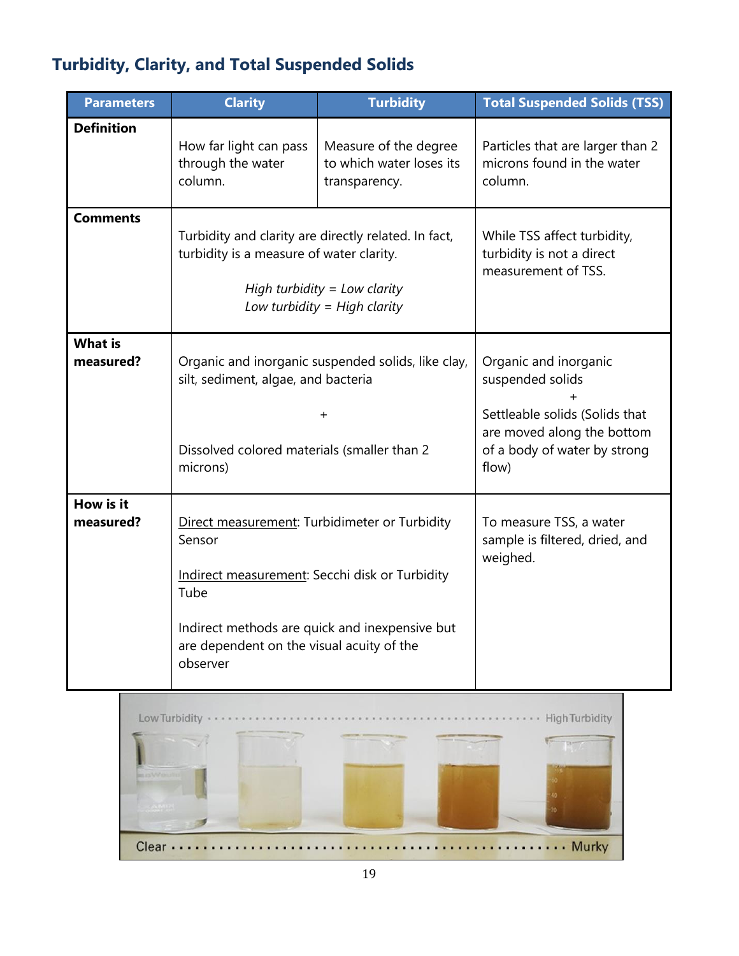## <span id="page-18-0"></span>**Turbidity, Clarity, and Total Suspended Solids**

| <b>Parameters</b>           | <b>Clarity</b>                                                                                                                                                                                                               | <b>Turbidity</b>                                                   | <b>Total Suspended Solids (TSS)</b>                                                                                                                |
|-----------------------------|------------------------------------------------------------------------------------------------------------------------------------------------------------------------------------------------------------------------------|--------------------------------------------------------------------|----------------------------------------------------------------------------------------------------------------------------------------------------|
| <b>Definition</b>           | How far light can pass<br>through the water<br>column.                                                                                                                                                                       | Measure of the degree<br>to which water loses its<br>transparency. | Particles that are larger than 2<br>microns found in the water<br>column.                                                                          |
| <b>Comments</b>             | Turbidity and clarity are directly related. In fact,<br>turbidity is a measure of water clarity.<br>High turbidity = Low clarity<br>Low turbidity = $High$ clarity                                                           |                                                                    | While TSS affect turbidity,<br>turbidity is not a direct<br>measurement of TSS.                                                                    |
| <b>What is</b><br>measured? | Organic and inorganic suspended solids, like clay,<br>silt, sediment, algae, and bacteria<br>$\pm$<br>Dissolved colored materials (smaller than 2<br>microns)                                                                |                                                                    | Organic and inorganic<br>suspended solids<br>Settleable solids (Solids that<br>are moved along the bottom<br>of a body of water by strong<br>flow) |
| How is it<br>measured?      | Direct measurement: Turbidimeter or Turbidity<br>Sensor<br>Indirect measurement: Secchi disk or Turbidity<br>Tube<br>Indirect methods are quick and inexpensive but<br>are dependent on the visual acuity of the<br>observer |                                                                    | To measure TSS, a water<br>sample is filtered, dried, and<br>weighed.                                                                              |